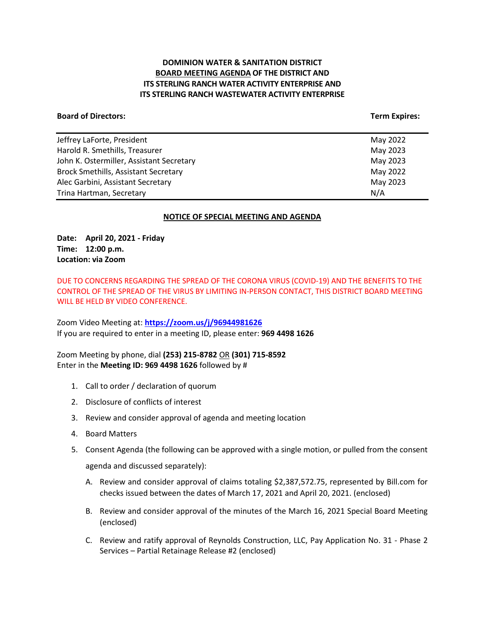## **DOMINION WATER & SANITATION DISTRICT BOARD MEETING AGENDA OF THE DISTRICT AND ITS STERLING RANCH WATER ACTIVITY ENTERPRISE AND ITS STERLING RANCH WASTEWATER ACTIVITY ENTERPRISE**

#### **Board of Directors:** Term Expires: Term Expires: Term Expires: Term Expires: Term Expires: Term Expires: Term Expires: Term Expires: Term Expires: Term Expires: Term Expires: Term Expires: Term Expires: Term Expires: Term

| Jeffrey LaForte, President                  | May 2022 |
|---------------------------------------------|----------|
| Harold R. Smethills, Treasurer              | May 2023 |
| John K. Ostermiller, Assistant Secretary    | May 2023 |
| <b>Brock Smethills, Assistant Secretary</b> | May 2022 |
| Alec Garbini, Assistant Secretary           | May 2023 |
| Trina Hartman, Secretary                    | N/A      |
|                                             |          |

#### **NOTICE OF SPECIAL MEETING AND AGENDA**

**Date: April 20, 2021 - Friday Time: 12:00 p.m. Location: via Zoom**

DUE TO CONCERNS REGARDING THE SPREAD OF THE CORONA VIRUS (COVID-19) AND THE BENEFITS TO THE CONTROL OF THE SPREAD OF THE VIRUS BY LIMITING IN-PERSON CONTACT, THIS DISTRICT BOARD MEETING WILL BE HELD BY VIDEO CONFERENCE.

Zoom Video Meeting at: **<https://zoom.us/j/96944981626>** If you are required to enter in a meeting ID, please enter: **969 4498 1626**

Zoom Meeting by phone, dial **(253) 215-8782** OR **(301) 715-8592** Enter in the **Meeting ID: 969 4498 1626** followed by #

- 1. Call to order / declaration of quorum
- 2. Disclosure of conflicts of interest
- 3. Review and consider approval of agenda and meeting location
- 4. Board Matters
- 5. Consent Agenda (the following can be approved with a single motion, or pulled from the consent agenda and discussed separately):
	- A. Review and consider approval of claims totaling \$2,387,572.75, represented by Bill.com for checks issued between the dates of March 17, 2021 and April 20, 2021. (enclosed)
	- B. Review and consider approval of the minutes of the March 16, 2021 Special Board Meeting (enclosed)
	- C. Review and ratify approval of Reynolds Construction, LLC, Pay Application No. 31 Phase 2 Services – Partial Retainage Release #2 (enclosed)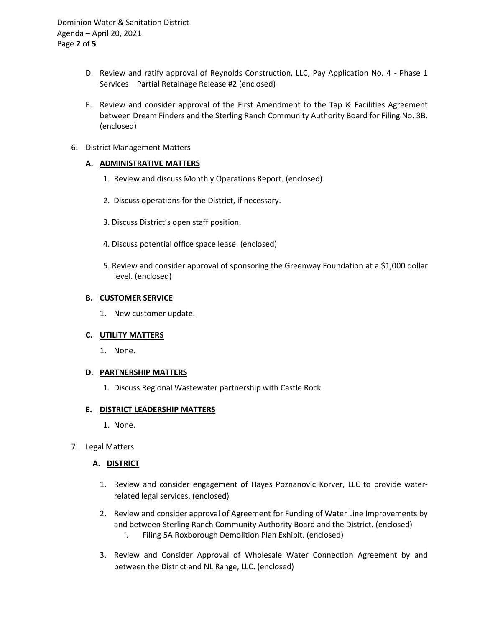Dominion Water & Sanitation District Agenda – April 20, 2021 Page **2** of **5**

- D. Review and ratify approval of Reynolds Construction, LLC, Pay Application No. 4 Phase 1 Services – Partial Retainage Release #2 (enclosed)
- E. Review and consider approval of the First Amendment to the Tap & Facilities Agreement between Dream Finders and the Sterling Ranch Community Authority Board for Filing No. 3B. (enclosed)
- 6. District Management Matters

### **A. ADMINISTRATIVE MATTERS**

- 1. Review and discuss Monthly Operations Report. (enclosed)
- 2. Discuss operations for the District, if necessary.
- 3. Discuss District's open staff position.
- 4. Discuss potential office space lease. (enclosed)
- 5. Review and consider approval of sponsoring the Greenway Foundation at a \$1,000 dollar level. (enclosed)

#### **B. CUSTOMER SERVICE**

1. New customer update.

### **C. UTILITY MATTERS**

1. None.

#### **D. PARTNERSHIP MATTERS**

1. Discuss Regional Wastewater partnership with Castle Rock.

#### **E. DISTRICT LEADERSHIP MATTERS**

- 1. None.
- 7. Legal Matters

#### **A. DISTRICT**

- 1. Review and consider engagement of Hayes Poznanovic Korver, LLC to provide waterrelated legal services. (enclosed)
- 2. Review and consider approval of Agreement for Funding of Water Line Improvements by and between Sterling Ranch Community Authority Board and the District. (enclosed) i. Filing 5A Roxborough Demolition Plan Exhibit. (enclosed)
- 3. Review and Consider Approval of Wholesale Water Connection Agreement by and between the District and NL Range, LLC. (enclosed)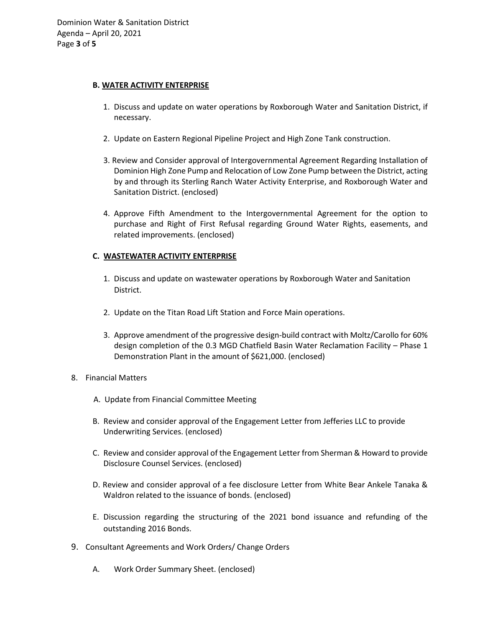#### **B. WATER ACTIVITY ENTERPRISE**

- 1. Discuss and update on water operations by Roxborough Water and Sanitation District, if necessary.
- 2. Update on Eastern Regional Pipeline Project and High Zone Tank construction.
- 3. Review and Consider approval of Intergovernmental Agreement Regarding Installation of Dominion High Zone Pump and Relocation of Low Zone Pump between the District, acting by and through its Sterling Ranch Water Activity Enterprise, and Roxborough Water and Sanitation District. (enclosed)
- 4. Approve Fifth Amendment to the Intergovernmental Agreement for the option to purchase and Right of First Refusal regarding Ground Water Rights, easements, and related improvements. (enclosed)

### **C. WASTEWATER ACTIVITY ENTERPRISE**

- 1. Discuss and update on wastewater operations by Roxborough Water and Sanitation District.
- 2. Update on the Titan Road Lift Station and Force Main operations.
- 3. Approve amendment of the progressive design-build contract with Moltz/Carollo for 60% design completion of the 0.3 MGD Chatfield Basin Water Reclamation Facility – Phase 1 Demonstration Plant in the amount of \$621,000. (enclosed)
- 8. Financial Matters
	- A. Update from Financial Committee Meeting
	- B. Review and consider approval of the Engagement Letter from Jefferies LLC to provide Underwriting Services. (enclosed)
	- C. Review and consider approval of the Engagement Letter from Sherman & Howard to provide Disclosure Counsel Services. (enclosed)
	- D. Review and consider approval of a fee disclosure Letter from White Bear Ankele Tanaka & Waldron related to the issuance of bonds. (enclosed)
	- E. Discussion regarding the structuring of the 2021 bond issuance and refunding of the outstanding 2016 Bonds.
- 9. Consultant Agreements and Work Orders/ Change Orders
	- A. Work Order Summary Sheet. (enclosed)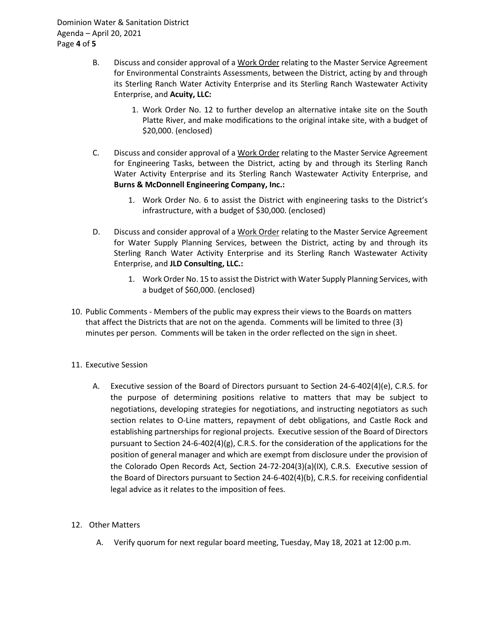Dominion Water & Sanitation District Agenda – April 20, 2021 Page **4** of **5**

- B. Discuss and consider approval of a Work Order relating to the Master Service Agreement for Environmental Constraints Assessments, between the District, acting by and through its Sterling Ranch Water Activity Enterprise and its Sterling Ranch Wastewater Activity Enterprise, and **Acuity, LLC:**
	- 1. Work Order No. 12 to further develop an alternative intake site on the South Platte River, and make modifications to the original intake site, with a budget of \$20,000. (enclosed)
- C. Discuss and consider approval of a Work Order relating to the Master Service Agreement for Engineering Tasks, between the District, acting by and through its Sterling Ranch Water Activity Enterprise and its Sterling Ranch Wastewater Activity Enterprise, and **Burns & McDonnell Engineering Company, Inc.:**
	- 1. Work Order No. 6 to assist the District with engineering tasks to the District's infrastructure, with a budget of \$30,000. (enclosed)
- D. Discuss and consider approval of a Work Order relating to the Master Service Agreement for Water Supply Planning Services, between the District, acting by and through its Sterling Ranch Water Activity Enterprise and its Sterling Ranch Wastewater Activity Enterprise, and **JLD Consulting, LLC.:**
	- 1. Work Order No. 15 to assist the District with Water Supply Planning Services, with a budget of \$60,000. (enclosed)
- 10. Public Comments Members of the public may express their views to the Boards on matters that affect the Districts that are not on the agenda. Comments will be limited to three (3) minutes per person. Comments will be taken in the order reflected on the sign in sheet.
- 11. Executive Session
	- A. Executive session of the Board of Directors pursuant to Section 24-6-402(4)(e), C.R.S. for the purpose of determining positions relative to matters that may be subject to negotiations, developing strategies for negotiations, and instructing negotiators as such section relates to O-Line matters, repayment of debt obligations, and Castle Rock and establishing partnerships for regional projects. Executive session of the Board of Directors pursuant to Section 24-6-402(4)(g), C.R.S. for the consideration of the applications for the position of general manager and which are exempt from disclosure under the provision of the Colorado Open Records Act, Section 24-72-204(3)(a)(IX), C.R.S. Executive session of the Board of Directors pursuant to Section 24-6-402(4)(b), C.R.S. for receiving confidential legal advice as it relates to the imposition of fees.
- 12. Other Matters
	- A. Verify quorum for next regular board meeting, Tuesday, May 18, 2021 at 12:00 p.m.